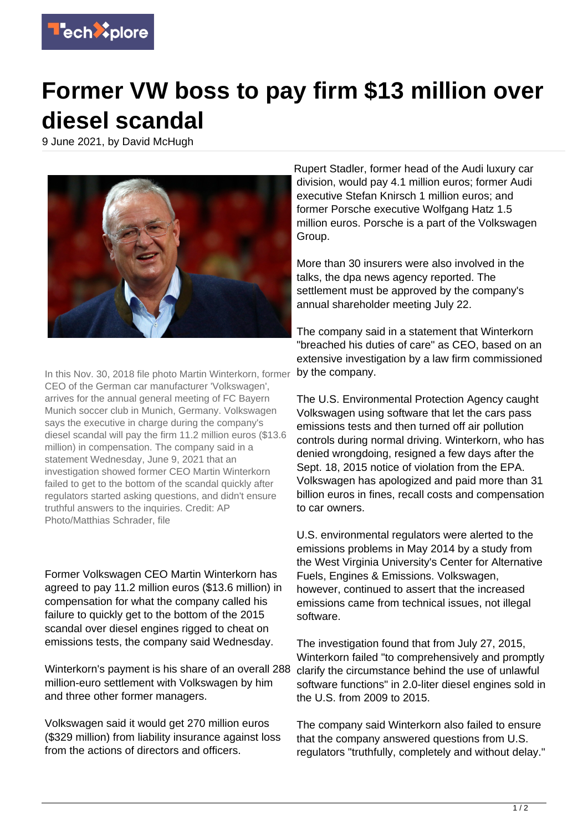

## **Former VW boss to pay firm \$13 million over diesel scandal**

9 June 2021, by David McHugh



In this Nov. 30, 2018 file photo Martin Winterkorn, former CEO of the German car manufacturer 'Volkswagen', arrives for the annual general meeting of FC Bayern Munich soccer club in Munich, Germany. Volkswagen says the executive in charge during the company's diesel scandal will pay the firm 11.2 million euros (\$13.6 million) in compensation. The company said in a statement Wednesday, June 9, 2021 that an investigation showed former CEO Martin Winterkorn failed to get to the bottom of the scandal quickly after regulators started asking questions, and didn't ensure truthful answers to the inquiries. Credit: AP Photo/Matthias Schrader, file

Former Volkswagen CEO Martin Winterkorn has agreed to pay 11.2 million euros (\$13.6 million) in compensation for what the company called his failure to quickly get to the bottom of the 2015 scandal over diesel engines rigged to cheat on emissions tests, the company said Wednesday.

Winterkorn's payment is his share of an overall 288 million-euro settlement with Volkswagen by him and three other former managers.

Volkswagen said it would get 270 million euros (\$329 million) from liability insurance against loss from the actions of directors and officers.

Rupert Stadler, former head of the Audi luxury car division, would pay 4.1 million euros; former Audi executive Stefan Knirsch 1 million euros; and former Porsche executive Wolfgang Hatz 1.5 million euros. Porsche is a part of the Volkswagen Group.

More than 30 insurers were also involved in the talks, the dpa news agency reported. The settlement must be approved by the company's annual shareholder meeting July 22.

The company said in a statement that Winterkorn "breached his duties of care" as CEO, based on an extensive investigation by a law firm commissioned by the company.

The U.S. Environmental Protection Agency caught Volkswagen using software that let the cars pass emissions tests and then turned off air pollution controls during normal driving. Winterkorn, who has denied wrongdoing, resigned a few days after the Sept. 18, 2015 notice of violation from the EPA. Volkswagen has apologized and paid more than 31 billion euros in fines, recall costs and compensation to car owners.

U.S. environmental regulators were alerted to the emissions problems in May 2014 by a study from the West Virginia University's Center for Alternative Fuels, Engines & Emissions. Volkswagen, however, continued to assert that the increased emissions came from technical issues, not illegal software.

The investigation found that from July 27, 2015, Winterkorn failed "to comprehensively and promptly clarify the circumstance behind the use of unlawful software functions" in 2.0-liter diesel engines sold in the U.S. from 2009 to 2015.

The company said Winterkorn also failed to ensure that the company answered questions from U.S. regulators "truthfully, completely and without delay."